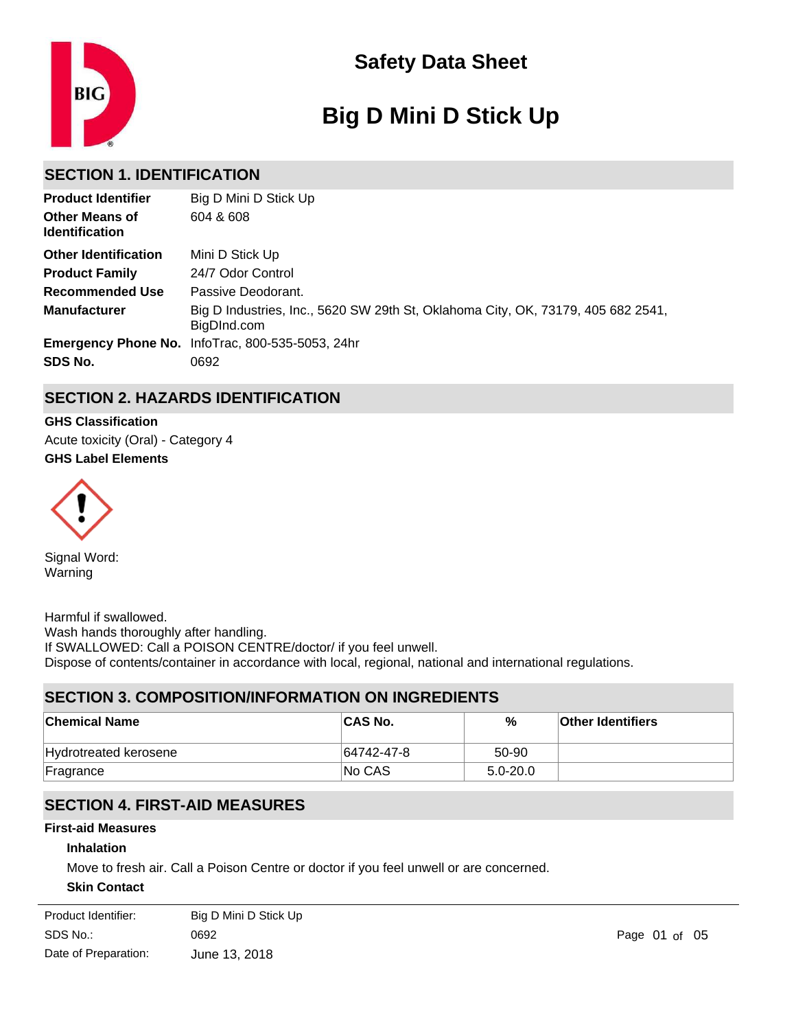

# **Big D Mini D Stick Up**

# **SECTION 1. IDENTIFICATION**

| <b>Product Identifier</b>                      | Big D Mini D Stick Up                                                                           |
|------------------------------------------------|-------------------------------------------------------------------------------------------------|
| <b>Other Means of</b><br><b>Identification</b> | 604 & 608                                                                                       |
| <b>Other Identification</b>                    | Mini D Stick Up                                                                                 |
| <b>Product Family</b>                          | 24/7 Odor Control                                                                               |
| Recommended Use                                | Passive Deodorant.                                                                              |
| <b>Manufacturer</b>                            | Big D Industries, Inc., 5620 SW 29th St, Oklahoma City, OK, 73179, 405 682 2541,<br>BigDInd.com |
|                                                | Emergency Phone No. InfoTrac, 800-535-5053, 24hr                                                |
| SDS No.                                        | 0692                                                                                            |

# **SECTION 2. HAZARDS IDENTIFICATION**

**GHS Label Elements GHS Classification** Acute toxicity (Oral) - Category 4



Signal Word: Warning

Harmful if swallowed. Wash hands thoroughly after handling. If SWALLOWED: Call a POISON CENTRE/doctor/ if you feel unwell. Dispose of contents/container in accordance with local, regional, national and international regulations.

# **SECTION 3. COMPOSITION/INFORMATION ON INGREDIENTS**

| <b>Chemical Name</b>  | <b>CAS No.</b> | %            | <b>Other Identifiers</b> |
|-----------------------|----------------|--------------|--------------------------|
| Hydrotreated kerosene | 64742-47-8     | 50-90        |                          |
| Fragrance             | <b>No CAS</b>  | $5.0 - 20.0$ |                          |

# **SECTION 4. FIRST-AID MEASURES**

### **First-aid Measures**

### **Inhalation**

Move to fresh air. Call a Poison Centre or doctor if you feel unwell or are concerned.

### **Skin Contact**

| Product Identifier:  | Big D Mini D Stick Up |               |
|----------------------|-----------------------|---------------|
| SDS No.:             | 0692                  | Page 01 of 05 |
| Date of Preparation: | June 13, 2018         |               |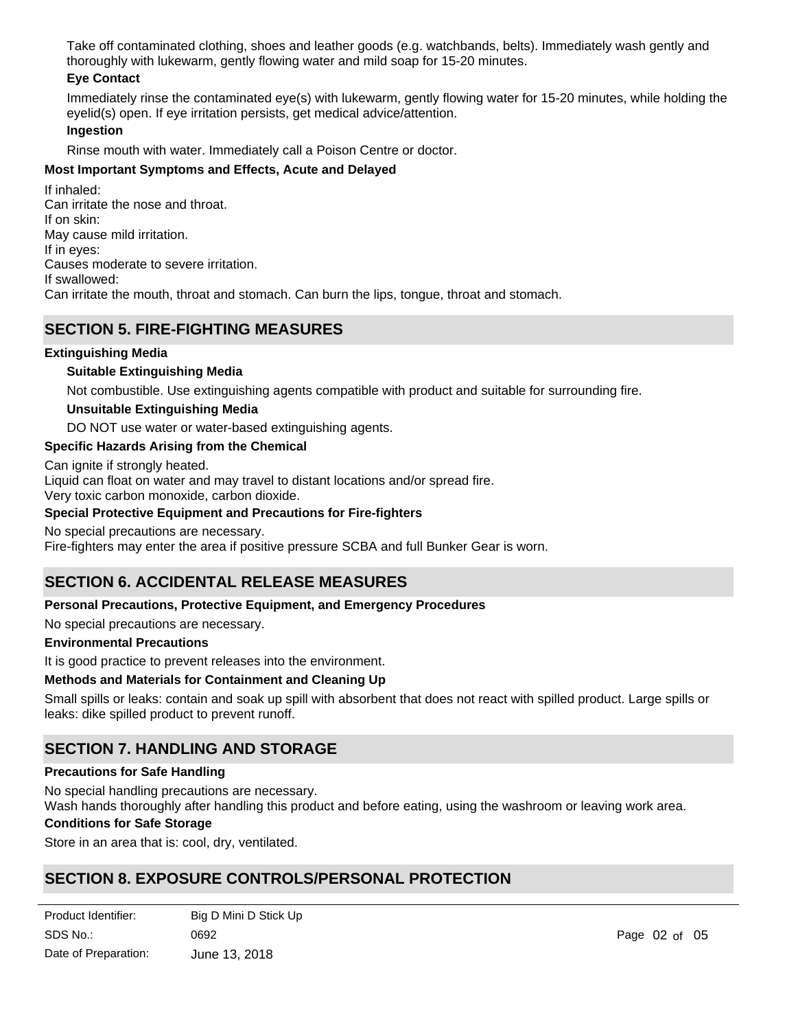Take off contaminated clothing, shoes and leather goods (e.g. watchbands, belts). Immediately wash gently and thoroughly with lukewarm, gently flowing water and mild soap for 15-20 minutes.

### **Eye Contact**

Immediately rinse the contaminated eye(s) with lukewarm, gently flowing water for 15-20 minutes, while holding the eyelid(s) open. If eye irritation persists, get medical advice/attention.

#### **Ingestion**

Rinse mouth with water. Immediately call a Poison Centre or doctor.

### **Most Important Symptoms and Effects, Acute and Delayed**

If inhaled: Can irritate the nose and throat. If on skin: May cause mild irritation. If in eyes: Causes moderate to severe irritation. If swallowed: Can irritate the mouth, throat and stomach. Can burn the lips, tongue, throat and stomach.

### **SECTION 5. FIRE-FIGHTING MEASURES**

### **Extinguishing Media**

### **Suitable Extinguishing Media**

Not combustible. Use extinguishing agents compatible with product and suitable for surrounding fire.

### **Unsuitable Extinguishing Media**

DO NOT use water or water-based extinguishing agents.

### **Specific Hazards Arising from the Chemical**

Can ignite if strongly heated.

Liquid can float on water and may travel to distant locations and/or spread fire.

Very toxic carbon monoxide, carbon dioxide.

### **Special Protective Equipment and Precautions for Fire-fighters**

No special precautions are necessary.

Fire-fighters may enter the area if positive pressure SCBA and full Bunker Gear is worn.

# **SECTION 6. ACCIDENTAL RELEASE MEASURES**

### **Personal Precautions, Protective Equipment, and Emergency Procedures**

No special precautions are necessary.

### **Environmental Precautions**

It is good practice to prevent releases into the environment.

### **Methods and Materials for Containment and Cleaning Up**

Small spills or leaks: contain and soak up spill with absorbent that does not react with spilled product. Large spills or leaks: dike spilled product to prevent runoff.

## **SECTION 7. HANDLING AND STORAGE**

### **Precautions for Safe Handling**

No special handling precautions are necessary. Wash hands thoroughly after handling this product and before eating, using the washroom or leaving work area.

### **Conditions for Safe Storage**

Store in an area that is: cool, dry, ventilated.

# **SECTION 8. EXPOSURE CONTROLS/PERSONAL PROTECTION**

| Product Identifier:  | Big D Mini D Stick Up |
|----------------------|-----------------------|
| SDS No.:             | 0692                  |
| Date of Preparation: | June 13, 2018         |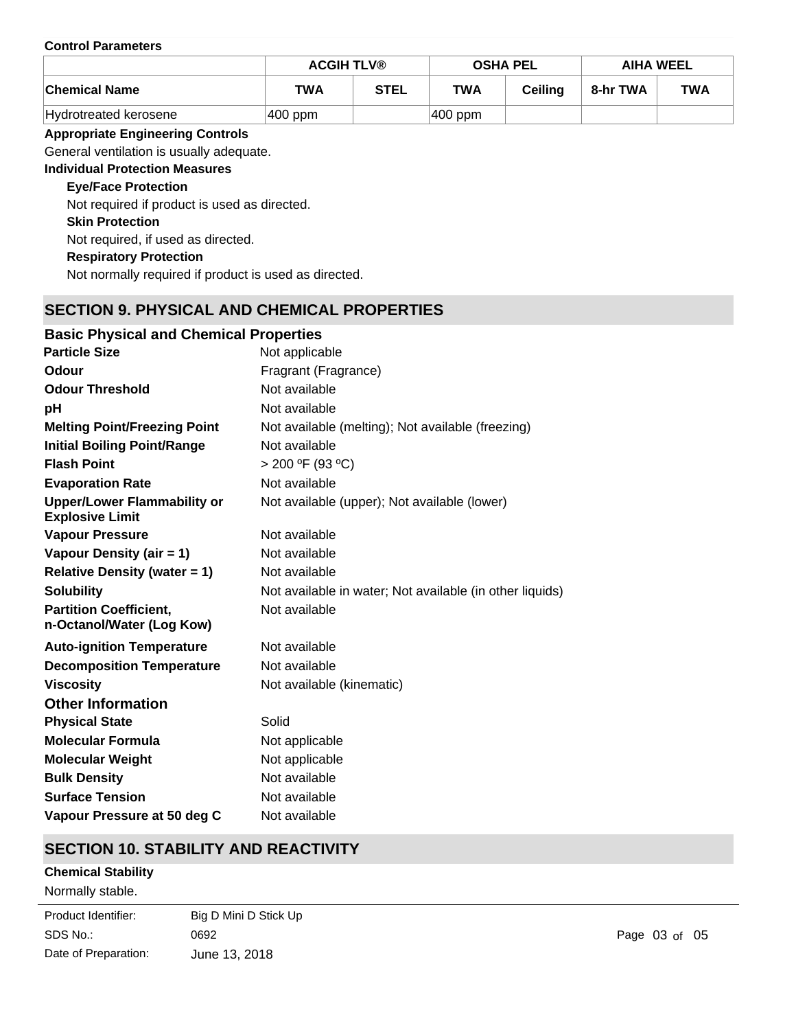#### **Control Parameters**

|                       | <b>ACGIH TLV®</b> |             | <b>OSHA PEL</b> |                | <b>AIHA WEEL</b> |            |
|-----------------------|-------------------|-------------|-----------------|----------------|------------------|------------|
| <b>Chemical Name</b>  | <b>TWA</b>        | <b>STEL</b> | <b>TWA</b>      | <b>Ceiling</b> | 8-hr TWA         | <b>TWA</b> |
| Hydrotreated kerosene | $ 400$ ppm        |             | $ 400$ ppm      |                |                  |            |

### **Appropriate Engineering Controls**

General ventilation is usually adequate.

**Individual Protection Measures**

### **Eye/Face Protection**

Not required if product is used as directed.

**Skin Protection**

Not required, if used as directed.

# **Respiratory Protection**

Not normally required if product is used as directed.

# **SECTION 9. PHYSICAL AND CHEMICAL PROPERTIES**

| <b>Basic Physical and Chemical Properties</b>                |                                                          |
|--------------------------------------------------------------|----------------------------------------------------------|
| <b>Particle Size</b>                                         | Not applicable                                           |
| Odour                                                        | Fragrant (Fragrance)                                     |
| <b>Odour Threshold</b>                                       | Not available                                            |
| рH                                                           | Not available                                            |
| <b>Melting Point/Freezing Point</b>                          | Not available (melting); Not available (freezing)        |
| <b>Initial Boiling Point/Range</b>                           | Not available                                            |
| <b>Flash Point</b>                                           | $> 200$ °F (93 °C)                                       |
| <b>Evaporation Rate</b>                                      | Not available                                            |
| <b>Upper/Lower Flammability or</b><br><b>Explosive Limit</b> | Not available (upper); Not available (lower)             |
| <b>Vapour Pressure</b>                                       | Not available                                            |
| Vapour Density (air = 1)                                     | Not available                                            |
| <b>Relative Density (water = 1)</b>                          | Not available                                            |
| <b>Solubility</b>                                            | Not available in water; Not available (in other liquids) |
| <b>Partition Coefficient,</b><br>n-Octanol/Water (Log Kow)   | Not available                                            |
| <b>Auto-ignition Temperature</b>                             | Not available                                            |
| <b>Decomposition Temperature</b>                             | Not available                                            |
| <b>Viscosity</b>                                             | Not available (kinematic)                                |
| <b>Other Information</b>                                     |                                                          |
| <b>Physical State</b>                                        | Solid                                                    |
| <b>Molecular Formula</b>                                     | Not applicable                                           |
| <b>Molecular Weight</b>                                      | Not applicable                                           |
| <b>Bulk Density</b>                                          | Not available                                            |
| <b>Surface Tension</b>                                       | Not available                                            |
| Vapour Pressure at 50 deg C                                  | Not available                                            |

# **SECTION 10. STABILITY AND REACTIVITY**

### **Chemical Stability**

Normally stable.

| Product Identifier:  | Big D Mini D Stick Up |
|----------------------|-----------------------|
| SDS No.:             | 0692                  |
| Date of Preparation: | June 13, 2018         |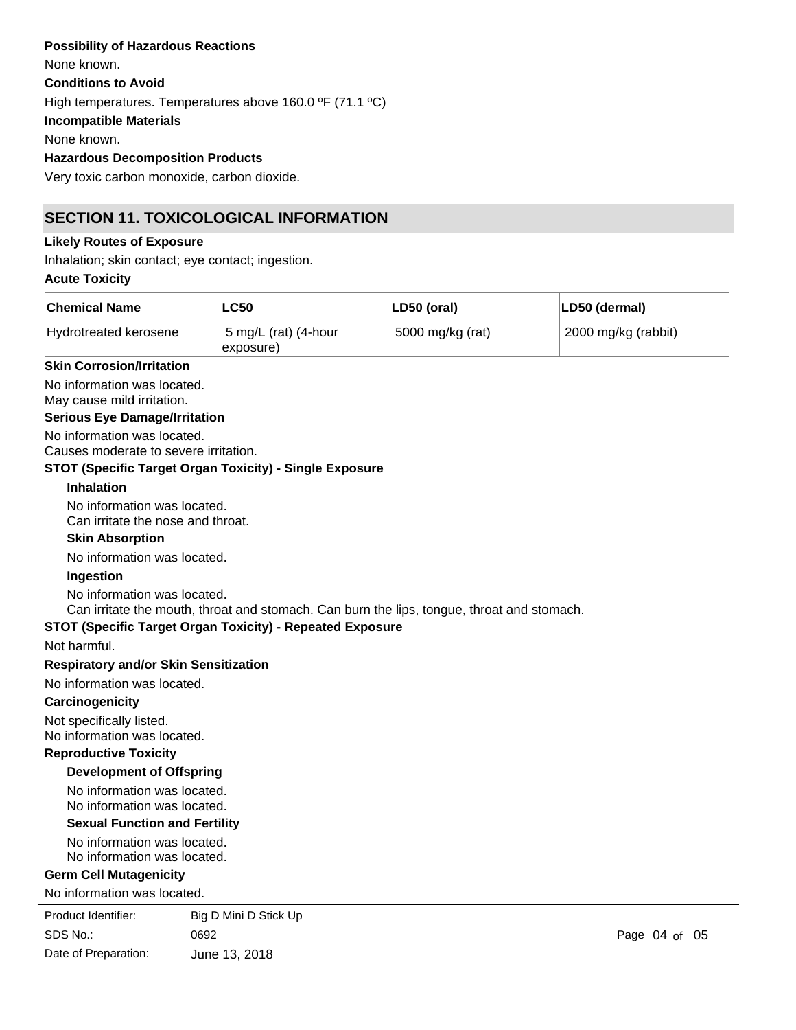### **Possibility of Hazardous Reactions**

**Conditions to Avoid** High temperatures. Temperatures above 160.0 ºF (71.1 ºC) **Incompatible Materials** None known. **Hazardous Decomposition Products** Very toxic carbon monoxide, carbon dioxide. None known.

# **SECTION 11. TOXICOLOGICAL INFORMATION**

### **Likely Routes of Exposure**

Inhalation; skin contact; eye contact; ingestion.

### **Acute Toxicity**

| <b>Chemical Name</b>  | <b>LC50</b>                       | LD50 (oral)      | LD50 (dermal)       |
|-----------------------|-----------------------------------|------------------|---------------------|
| Hydrotreated kerosene | 5 mg/L (rat) (4-hour<br>exposure) | 5000 mg/kg (rat) | 2000 mg/kg (rabbit) |

### **Skin Corrosion/Irritation**

No information was located.

May cause mild irritation.

### **Serious Eye Damage/Irritation**

No information was located. Causes moderate to severe irritation.

### **STOT (Specific Target Organ Toxicity) - Single Exposure**

#### **Inhalation**

No information was located. Can irritate the nose and throat.

## **Skin Absorption**

No information was located.

### **Ingestion**

No information was located.

Can irritate the mouth, throat and stomach. Can burn the lips, tongue, throat and stomach.

### **STOT (Specific Target Organ Toxicity) - Repeated Exposure**

Not harmful.

### **Respiratory and/or Skin Sensitization**

No information was located.

### **Carcinogenicity**

Not specifically listed. No information was located.

### **Reproductive Toxicity**

### **Development of Offspring**

No information was located. No information was located.

### **Sexual Function and Fertility**

No information was located. No information was located.

### **Germ Cell Mutagenicity**

No information was located.

| Product Identifier:  | Big D Mini D Stick Up |
|----------------------|-----------------------|
| SDS No.:             | 0692                  |
| Date of Preparation: | June 13, 2018         |